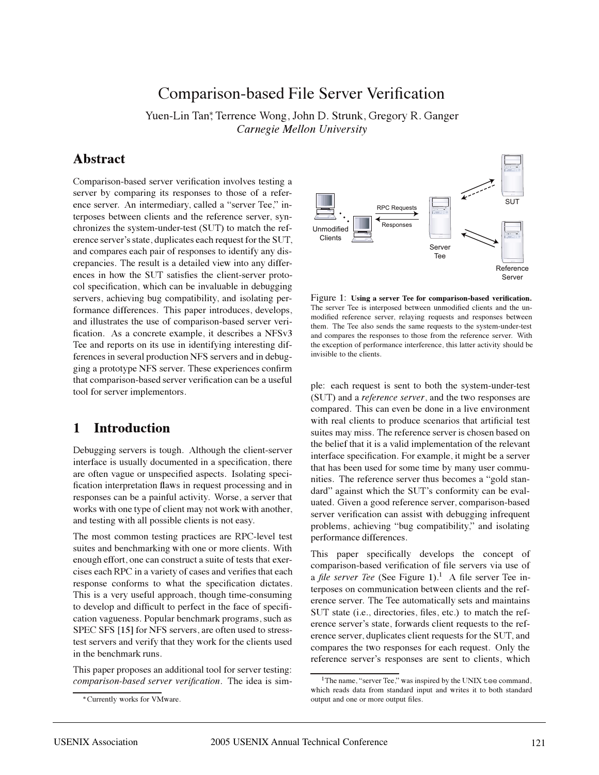# Comparison-based File Server Verification

Yuen-Lin Tan , Terrence Wong, John D. Strunk, Gregory R. Ganger *Carnegie Mellon University*

## **Abstract**

Comparison-based server verification involves testing a server by comparing its responses to those of a reference server. An intermediary, called a "server Tee," interposes between clients and the reference server, synchronizes the system-under-test (SUT) to match the reference server's state, duplicates each request for the SUT, and compares each pair of responses to identify any discrepancies. The result is a detailed view into any differences in how the SUT satisfies the client-server protocol specification, which can be invaluable in debugging servers, achieving bug compatibility, and isolating performance differences. This paper introduces, develops, and illustrates the use of comparison-based server verification. As a concrete example, it describes a NFSv3 Tee and reports on its use in identifying interesting differences in several production NFS servers and in debugging a prototype NFS server. These experiences confirm that comparison-based server verification can be a useful tool for server implementors.

## **1 Introduction**

Debugging servers is tough. Although the client-server interface is usually documented in a specification, there are often vague or unspecified aspects. Isolating specification interpretation flaws in request processing and in responses can be a painful activity. Worse, a server that works with one type of client may not work with another, and testing with all possible clients is not easy.

The most common testing practices are RPC-level test suites and benchmarking with one or more clients. With enough effort, one can construct a suite of tests that exercises each RPC in a variety of cases and verifies that each response conforms to what the specification dictates. This is a very useful approach, though time-consuming to develop and difficult to perfect in the face of specification vagueness. Popular benchmark programs, such as SPEC SFS [15] for NFS servers, are often used to stresstest servers and verify that they work for the clients used in the benchmark runs.

This paper proposes an additional tool for server testing: *comparison-based server verification*. The idea is sim-



Figure 1: **Using a server Tee for comparison-based verification.** The server Tee is interposed between unmodified clients and the unmodified reference server, relaying requests and responses between them. The Tee also sends the same requests to the system-under-test and compares the responses to those from the reference server. With the exception of performance interference, this latter activity should be invisible to the clients.

ple: each request is sent to both the system-under-test (SUT) and a *reference server*, and the two responses are compared. This can even be done in a live environment with real clients to produce scenarios that artificial test suites may miss. The reference server is chosen based on the belief that it is a valid implementation of the relevant interface specification. For example, it might be a server that has been used for some time by many user communities. The reference server thus becomes a "gold standard" against which the SUT's conformity can be evaluated. Given a good reference server, comparison-based server verification can assist with debugging infrequent problems, achieving "bug compatibility," and isolating performance differences.

This paper specifically develops the concept of comparison-based verification of file servers via use of a *file server Tee* (See Figure 1).<sup>1</sup> A file server Tee interposes on communication between clients and the reference server. The Tee automatically sets and maintains SUT state (i.e., directories, files, etc.) to match the reference server's state, forwards client requests to the reference server, duplicates client requests for the SUT, and compares the two responses for each request. Only the reference server's responses are sent to clients, which

Currently works for VMware.

<sup>&</sup>lt;sup>1</sup>The name, "server Tee," was inspired by the UNIX tee command, which reads data from standard input and writes it to both standard output and one or more output files.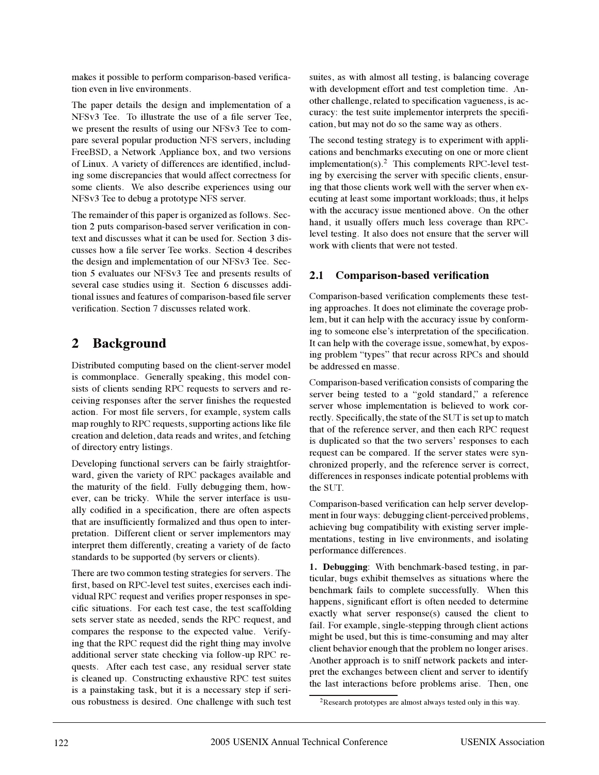makes it possible to perform comparison-based verification even in live environments.

The paper details the design and implementation of a NFSv3 Tee. To illustrate the use of a file server Tee, we present the results of using our NFSv3 Tee to compare several popular production NFS servers, including FreeBSD, a Network Appliance box, and two versions of Linux. A variety of differences are identified, including some discrepancies that would affect correctness for some clients. We also describe experiences using our NFSv3 Tee to debug a prototype NFS server.

The remainder of this paper is organized as follows. Section 2 puts comparison-based server verification in context and discusses what it can be used for. Section 3 discusses how a file server Tee works. Section 4 describes the design and implementation of our NFSv3 Tee. Section 5 evaluates our NFSv3 Tee and presents results of several case studies using it. Section 6 discusses additional issues and features of comparison-based file server verification. Section 7 discusses related work.

# **2 Background**

Distributed computing based on the client-server model is commonplace. Generally speaking, this model consists of clients sending RPC requests to servers and receiving responses after the server finishes the requested action. For most file servers, for example, system calls map roughly to RPC requests, supporting actions like file creation and deletion, data reads and writes, and fetching of directory entry listings.

Developing functional servers can be fairly straightforward, given the variety of RPC packages available and the maturity of the field. Fully debugging them, however, can be tricky. While the server interface is usually codified in a specification, there are often aspects that are insufficiently formalized and thus open to interpretation. Different client or server implementors may interpret them differently, creating a variety of de facto standards to be supported (by servers or clients).

There are two common testing strategies for servers. The first, based on RPC-level test suites, exercises each individual RPC request and verifies proper responses in specific situations. For each test case, the test scaffolding sets server state as needed, sends the RPC request, and compares the response to the expected value. Verifying that the RPC request did the right thing may involve additional server state checking via follow-up RPC requests. After each test case, any residual server state is cleaned up. Constructing exhaustive RPC test suites is a painstaking task, but it is a necessary step if serious robustness is desired. One challenge with such test suites, as with almost all testing, is balancing coverage with development effort and test completion time. Another challenge, related to specification vagueness, is accuracy: the test suite implementor interprets the specification, but may not do so the same way as others.

The second testing strategy is to experiment with applications and benchmarks executing on one or more client implementation(s).<sup>2</sup> This complements RPC-level testing by exercising the server with specific clients, ensuring that those clients work well with the server when executing at least some important workloads; thus, it helps with the accuracy issue mentioned above. On the other hand, it usually offers much less coverage than RPClevel testing. It also does not ensure that the server will work with clients that were not tested.

### **2.1 Comparison-based verification**

Comparison-based verification complements these testing approaches. It does not eliminate the coverage problem, but it can help with the accuracy issue by conforming to someone else's interpretation of the specification. It can help with the coverage issue, somewhat, by exposing problem "types" that recur across RPCs and should be addressed en masse.

Comparison-based verification consists of comparing the server being tested to a "gold standard," a reference server whose implementation is believed to work correctly. Specifically, the state of the SUT is set up to match that of the reference server, and then each RPC request is duplicated so that the two servers' responses to each request can be compared. If the server states were synchronized properly, and the reference server is correct, differences in responses indicate potential problems with the SUT.

Comparison-based verification can help server development in four ways: debugging client-perceived problems, achieving bug compatibility with existing server implementations, testing in live environments, and isolating performance differences.

**1. Debugging**: With benchmark-based testing, in particular, bugs exhibit themselves as situations where the benchmark fails to complete successfully. When this happens, significant effort is often needed to determine exactly what server response(s) caused the client to fail. For example, single-stepping through client actions might be used, but this is time-consuming and may alter client behavior enough that the problem no longer arises. Another approach is to sniff network packets and interpret the exchanges between client and server to identify the last interactions before problems arise. Then, one

<sup>2</sup>Research prototypes are almost always tested only in this way.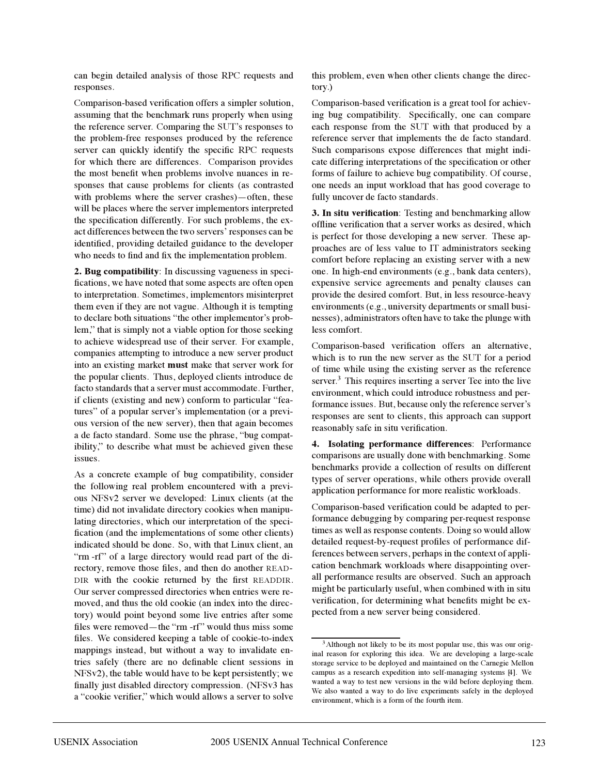can begin detailed analysis of those RPC requests and responses.

Comparison-based verification offers a simpler solution, assuming that the benchmark runs properly when using the reference server. Comparing the SUT's responses to the problem-free responses produced by the reference server can quickly identify the specific RPC requests for which there are differences. Comparison provides the most benefit when problems involve nuances in responses that cause problems for clients (as contrasted with problems where the server crashes)—often, these will be places where the server implementors interpreted the specification differently. For such problems, the exact differences between the two servers' responses can be identified, providing detailed guidance to the developer who needs to find and fix the implementation problem.

**2. Bug compatibility**: In discussing vagueness in specifications, we have noted that some aspects are often open to interpretation. Sometimes, implementors misinterpret them even if they are not vague. Although it is tempting to declare both situations "the other implementor's problem," that is simply not a viable option for those seeking to achieve widespread use of their server. For example, companies attempting to introduce a new server product into an existing market **must** make that server work for the popular clients. Thus, deployed clients introduce de facto standards that a server must accommodate. Further, if clients (existing and new) conform to particular "features" of a popular server's implementation (or a previous version of the new server), then that again becomes a de facto standard. Some use the phrase, "bug compatibility," to describe what must be achieved given these issues.

As a concrete example of bug compatibility, consider the following real problem encountered with a previous NFSv2 server we developed: Linux clients (at the time) did not invalidate directory cookies when manipulating directories, which our interpretation of the specification (and the implementations of some other clients) indicated should be done. So, with that Linux client, an "rm -rf" of a large directory would read part of the directory, remove those files, and then do another READ-DIR with the cookie returned by the first READDIR. Our server compressed directories when entries were removed, and thus the old cookie (an index into the directory) would point beyond some live entries after some files were removed—the "rm -rf" would thus miss some files. We considered keeping a table of cookie-to-index mappings instead, but without a way to invalidate entries safely (there are no definable client sessions in NFSv2), the table would have to be kept persistently; we finally just disabled directory compression. (NFSv3 has a "cookie verifier," which would allows a server to solve

this problem, even when other clients change the directory.)

Comparison-based verification is a great tool for achieving bug compatibility. Specifically, one can compare each response from the SUT with that produced by a reference server that implements the de facto standard. Such comparisons expose differences that might indicate differing interpretations of the specification or other forms of failure to achieve bug compatibility. Of course, one needs an input workload that has good coverage to fully uncover de facto standards.

**3. In situ verification**: Testing and benchmarking allow offline verification that a server works as desired, which is perfect for those developing a new server. These approaches are of less value to IT administrators seeking comfort before replacing an existing server with a new one. In high-end environments (e.g., bank data centers), expensive service agreements and penalty clauses can provide the desired comfort. But, in less resource-heavy environments (e.g., university departments or small businesses), administrators often have to take the plunge with less comfort.

Comparison-based verification offers an alternative, which is to run the new server as the SUT for a period of time while using the existing server as the reference server.<sup>3</sup> This requires inserting a server Tee into the live environment, which could introduce robustness and performance issues. But, because only the reference server's responses are sent to clients, this approach can support reasonably safe in situ verification.

**4. Isolating performance differences**: Performance comparisons are usually done with benchmarking. Some benchmarks provide a collection of results on different types of server operations, while others provide overall application performance for more realistic workloads.

Comparison-based verification could be adapted to performance debugging by comparing per-request response times as well as response contents. Doing so would allow detailed request-by-request profiles of performance differences between servers, perhaps in the context of application benchmark workloads where disappointing overall performance results are observed. Such an approach might be particularly useful, when combined with in situ verification, for determining what benefits might be expected from a new server being considered.

<sup>&</sup>lt;sup>3</sup>Although not likely to be its most popular use, this was our original reason for exploring this idea. We are developing a large-scale storage service to be deployed and maintained on the Carnegie Mellon campus as a research expedition into self-managing systems [4]. We wanted a way to test new versions in the wild before deploying them. We also wanted a way to do live experiments safely in the deployed environment, which is a form of the fourth item.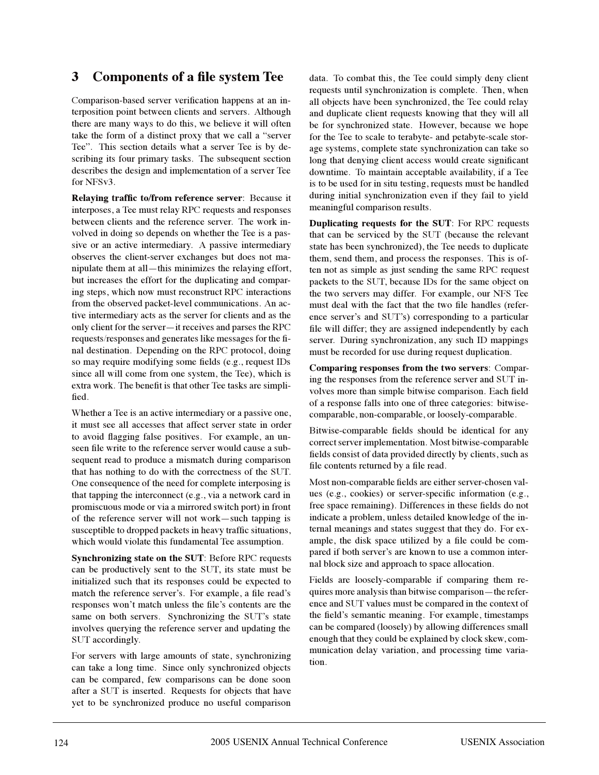## **3 Components of a file system Tee**

Comparison-based server verification happens at an interposition point between clients and servers. Although there are many ways to do this, we believe it will often take the form of a distinct proxy that we call a "server" Tee". This section details what a server Tee is by describing its four primary tasks. The subsequent section describes the design and implementation of a server Tee for NFSv3.

**Relaying traffic to/from reference server**: Because it interposes, a Tee must relay RPC requests and responses between clients and the reference server. The work involved in doing so depends on whether the Tee is a passive or an active intermediary. A passive intermediary observes the client-server exchanges but does not manipulate them at all—this minimizes the relaying effort, but increases the effort for the duplicating and comparing steps, which now must reconstruct RPC interactions from the observed packet-level communications. An active intermediary acts as the server for clients and as the only client for the server-it receives and parses the RPC requests/responses and generates like messages for the final destination. Depending on the RPC protocol, doing so may require modifying some fields (e.g., request IDs since all will come from one system, the Tee), which is extra work. The benefit is that other Tee tasks are simplified.

Whether a Tee is an active intermediary or a passive one, it must see all accesses that affect server state in order to avoid flagging false positives. For example, an unseen file write to the reference server would cause a subsequent read to produce a mismatch during comparison that has nothing to do with the correctness of the SUT. One consequence of the need for complete interposing is that tapping the interconnect (e.g., via a network card in promiscuous mode or via a mirrored switch port) in front of the reference server will not work—such tapping is susceptible to dropped packets in heavy traffic situations, which would violate this fundamental Tee assumption.

**Synchronizing state on the SUT**: Before RPC requests can be productively sent to the SUT, its state must be initialized such that its responses could be expected to match the reference server's. For example, a file read's responses won't match unless the file's contents are the same on both servers. Synchronizing the SUT's state involves querying the reference server and updating the SUT accordingly.

For servers with large amounts of state, synchronizing can take a long time. Since only synchronized objects can be compared, few comparisons can be done soon after a SUT is inserted. Requests for objects that have yet to be synchronized produce no useful comparison

data. To combat this, the Tee could simply deny client requests until synchronization is complete. Then, when all objects have been synchronized, the Tee could relay and duplicate client requests knowing that they will all be for synchronized state. However, because we hope for the Tee to scale to terabyte- and petabyte-scale storage systems, complete state synchronization can take so long that denying client access would create significant downtime. To maintain acceptable availability, if a Tee is to be used for in situ testing, requests must be handled during initial synchronization even if they fail to yield meaningful comparison results.

**Duplicating requests for the SUT**: For RPC requests that can be serviced by the SUT (because the relevant state has been synchronized), the Tee needs to duplicate them, send them, and process the responses. This is often not as simple as just sending the same RPC request packets to the SUT, because IDs for the same object on the two servers may differ. For example, our NFS Tee must deal with the fact that the two file handles (reference server's and SUT's) corresponding to a particular file will differ; they are assigned independently by each server. During synchronization, any such ID mappings must be recorded for use during request duplication.

**Comparing responses from the two servers**: Comparing the responses from the reference server and SUT involves more than simple bitwise comparison. Each field of a response falls into one of three categories: bitwisecomparable, non-comparable, or loosely-comparable.

Bitwise-comparable fields should be identical for any correct server implementation. Most bitwise-comparable fields consist of data provided directly by clients, such as file contents returned by a file read.

Most non-comparable fields are either server-chosen values (e.g., cookies) or server-specific information (e.g., free space remaining). Differences in these fields do not indicate a problem, unless detailed knowledge of the internal meanings and states suggest that they do. For example, the disk space utilized by a file could be compared if both server's are known to use a common internal block size and approach to space allocation.

Fields are loosely-comparable if comparing them requires more analysis than bitwise comparison—the reference and SUT values must be compared in the context of the field's semantic meaning. For example, timestamps can be compared (loosely) by allowing differences small enough that they could be explained by clock skew, communication delay variation, and processing time variation.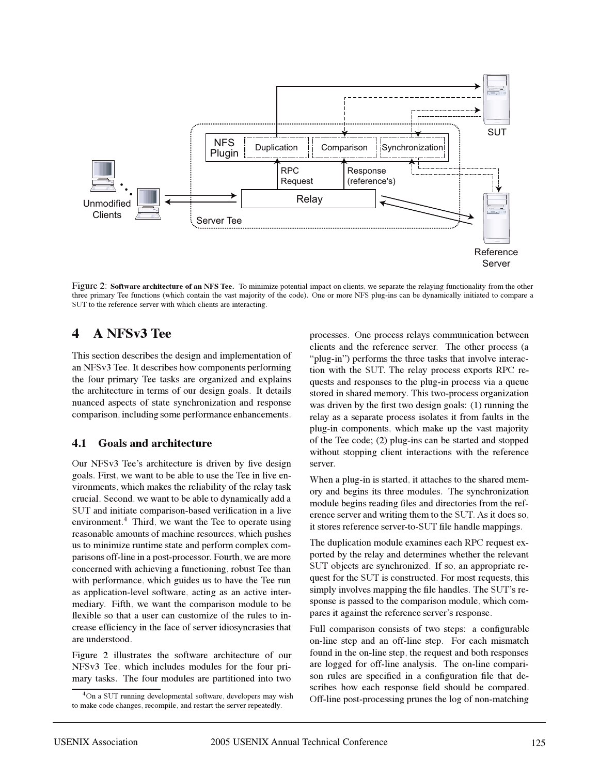

Figure 2: **Software architecture of an NFS Tee.** To minimize potential impact on clients, we separate the relaying functionality from the other three primary Tee functions (which contain the vast majority of the code). One or more NFS plug-ins can be dynamically initiated to compare a SUT to the reference server with which clients are interacting.

### **4 A NFSv3 Tee**

This section describes the design and implementation of an NFSv3 Tee. It describes how components performing the four primary Tee tasks are organized and explains the architecture in terms of our design goals. It details nuanced aspects of state synchronization and response comparison, including some performance enhancements.

#### **4.1 Goals and architecture**

Our NFSv3 Tee's architecture is driven by five design goals. First, we want to be able to use the Tee in live environments, which makes the reliability of the relay task crucial. Second, we want to be able to dynamically add a SUT and initiate comparison-based verification in a live environment.<sup>4</sup> Third, we want the Tee to operate using reasonable amounts of machine resources, which pushes us to minimize runtime state and perform complex comparisons off-line in a post-processor. Fourth, we are more concerned with achieving a functioning, robust Tee than with performance, which guides us to have the Tee run as application-level software, acting as an active intermediary. Fifth, we want the comparison module to be flexible so that a user can customize of the rules to increase efficiency in the face of server idiosyncrasies that are understood.

Figure 2 illustrates the software architecture of our NFSv3 Tee, which includes modules for the four primary tasks. The four modules are partitioned into two

processes. One process relays communication between clients and the reference server. The other process (a "plug-in") performs the three tasks that involve interaction with the SUT. The relay process exports RPC requests and responses to the plug-in process via a queue stored in shared memory. This two-process organization was driven by the first two design goals: (1) running the relay as a separate process isolates it from faults in the plug-in components, which make up the vast majority of the Tee code; (2) plug-ins can be started and stopped without stopping client interactions with the reference server.

When a plug-in is started, it attaches to the shared memory and begins its three modules. The synchronization module begins reading files and directories from the reference server and writing them to the SUT. As it does so, it stores reference server-to-SUT file handle mappings.

The duplication module examines each RPC request exported by the relay and determines whether the relevant SUT objects are synchronized. If so, an appropriate request for the SUT is constructed. For most requests, this simply involves mapping the file handles. The SUT's response is passed to the comparison module, which compares it against the reference server's response.

Full comparison consists of two steps: a configurable on-line step and an off-line step. For each mismatch found in the on-line step, the request and both responses are logged for off-line analysis. The on-line comparison rules are specified in a configuration file that describes how each response field should be compared. Off-line post-processing prunes the log of non-matching

<sup>4</sup>On a SUT running developmental software, developers may wish to make code changes, recompile, and restart the server repeatedly.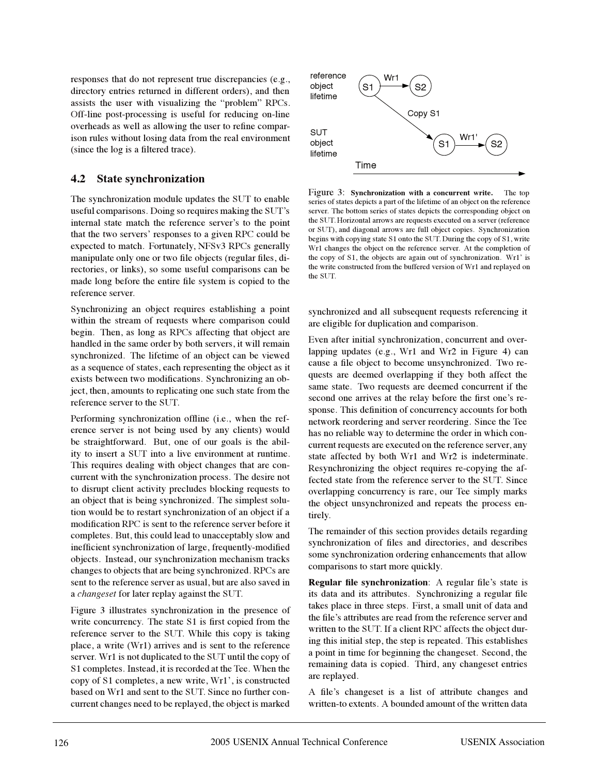responses that do not represent true discrepancies (e.g., directory entries returned in different orders), and then assists the user with visualizing the "problem" RPCs. Off-line post-processing is useful for reducing on-line overheads as well as allowing the user to refine comparison rules without losing data from the real environment (since the log is a filtered trace).

#### **4.2 State synchronization**

The synchronization module updates the SUT to enable useful comparisons. Doing so requires making the SUT's internal state match the reference server's to the point that the two servers' responses to a given RPC could be expected to match. Fortunately, NFSv3 RPCs generally manipulate only one or two file objects (regular files, directories, or links), so some useful comparisons can be made long before the entire file system is copied to the reference server.

Synchronizing an object requires establishing a point within the stream of requests where comparison could begin. Then, as long as RPCs affecting that object are handled in the same order by both servers, it will remain synchronized. The lifetime of an object can be viewed as a sequence of states, each representing the object as it exists between two modifications. Synchronizing an object, then, amounts to replicating one such state from the reference server to the SUT.

Performing synchronization offline (i.e., when the reference server is not being used by any clients) would be straightforward. But, one of our goals is the ability to insert a SUT into a live environment at runtime. This requires dealing with object changes that are concurrent with the synchronization process. The desire not to disrupt client activity precludes blocking requests to an object that is being synchronized. The simplest solution would be to restart synchronization of an object if a modification RPC is sent to the reference server before it completes. But, this could lead to unacceptably slow and inefficient synchronization of large, frequently-modified objects. Instead, our synchronization mechanism tracks changes to objects that are being synchronized. RPCs are sent to the reference server as usual, but are also saved in a *changeset* for later replay against the SUT.

Figure 3 illustrates synchronization in the presence of write concurrency. The state S1 is first copied from the reference server to the SUT. While this copy is taking place, a write (Wr1) arrives and is sent to the reference server. Wr1 is not duplicated to the SUT until the copy of S1 completes. Instead, it is recorded at the Tee. When the copy of S1 completes, a new write, Wr1', is constructed based on Wr1 and sent to the SUT. Since no further concurrent changes need to be replayed, the object is marked



Figure 3: **Synchronization with a concurrent write.** The top series of states depicts a part of the lifetime of an object on the reference server. The bottom series of states depicts the corresponding object on the SUT. Horizontal arrows are requests executed on a server (reference or SUT), and diagonal arrows are full object copies. Synchronization begins with copying state S1 onto the SUT. During the copy of S1, write Wr1 changes the object on the reference server. At the completion of the copy of S1, the objects are again out of synchronization. Wr1' is the write constructed from the buffered version of Wr1 and replayed on the SUT.

synchronized and all subsequent requests referencing it are eligible for duplication and comparison.

Even after initial synchronization, concurrent and overlapping updates (e.g., Wr1 and Wr2 in Figure 4) can cause a file object to become unsynchronized. Two requests are deemed overlapping if they both affect the same state. Two requests are deemed concurrent if the second one arrives at the relay before the first one's response. This definition of concurrency accounts for both network reordering and server reordering. Since the Tee has no reliable way to determine the order in which concurrent requests are executed on the reference server, any state affected by both Wr1 and Wr2 is indeterminate. Resynchronizing the object requires re-copying the affected state from the reference server to the SUT. Since overlapping concurrency is rare, our Tee simply marks the object unsynchronized and repeats the process entirely.

The remainder of this section provides details regarding synchronization of files and directories, and describes some synchronization ordering enhancements that allow comparisons to start more quickly.

**Regular file synchronization:** A regular file's state is its data and its attributes. Synchronizing a regular file takes place in three steps. First, a small unit of data and the file's attributes are read from the reference server and written to the SUT. If a client RPC affects the object during this initial step, the step is repeated. This establishes a point in time for beginning the changeset. Second, the remaining data is copied. Third, any changeset entries are replayed.

A file's changeset is a list of attribute changes and written-to extents. A bounded amount of the written data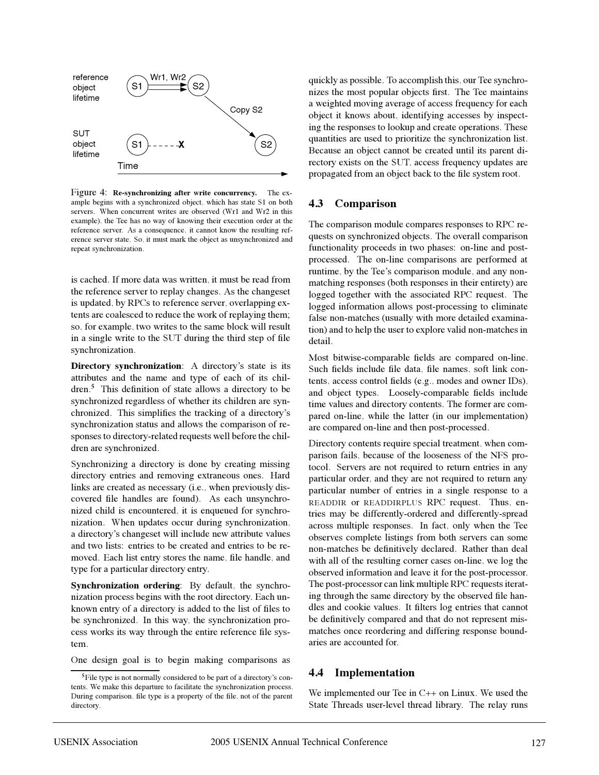

Figure 4: **Re-synchronizing after write concurrency.** The example begins with a synchronized object, which has state S1 on both servers. When concurrent writes are observed (Wr1 and Wr2 in this example), the Tee has no way of knowing their execution order at the reference server. As a consequence, it cannot know the resulting reference server state. So, it must mark the object as unsynchronized and repeat synchronization.

is cached. If more data was written, it must be read from the reference server to replay changes. As the changeset is updated, by RPCs to reference server, overlapping extents are coalesced to reduce the work of replaying them; so, for example, two writes to the same block will result in a single write to the SUT during the third step of file synchronization.

**Directory synchronization**: A directory's state is its attributes and the name and type of each of its children.<sup>5</sup> This definition of state allows a directory to be synchronized regardless of whether its children are synchronized. This simplifies the tracking of a directory's synchronization status and allows the comparison of responses to directory-related requests well before the children are synchronized.

Synchronizing a directory is done by creating missing directory entries and removing extraneous ones. Hard links are created as necessary (i.e., when previously discovered file handles are found). As each unsynchronized child is encountered, it is enqueued for synchronization. When updates occur during synchronization, a directoryís changeset will include new attribute values and two lists: entries to be created and entries to be removed. Each list entry stores the name, file handle, and type for a particular directory entry.

**Synchronization ordering**: By default, the synchronization process begins with the root directory. Each unknown entry of a directory is added to the list of files to be synchronized. In this way, the synchronization process works its way through the entire reference file system.

One design goal is to begin making comparisons as

quickly as possible. To accomplish this, our Tee synchronizes the most popular objects first. The Tee maintains a weighted moving average of access frequency for each object it knows about, identifying accesses by inspecting the responses to lookup and create operations. These quantities are used to prioritize the synchronization list. Because an object cannot be created until its parent directory exists on the SUT, access frequency updates are propagated from an object back to the file system root.

#### **4.3 Comparison**

The comparison module compares responses to RPC requests on synchronized objects. The overall comparison functionality proceeds in two phases: on-line and postprocessed. The on-line comparisons are performed at runtime, by the Tee's comparison module, and any nonmatching responses (both responses in their entirety) are logged together with the associated RPC request. The logged information allows post-processing to eliminate false non-matches (usually with more detailed examination) and to help the user to explore valid non-matches in detail.

Most bitwise-comparable fields are compared on-line. Such fields include file data, file names, soft link contents, access control fields (e.g., modes and owner IDs), and object types. Loosely-comparable fields include time values and directory contents. The former are compared on-line, while the latter (in our implementation) are compared on-line and then post-processed.

Directory contents require special treatment, when comparison fails, because of the looseness of the NFS protocol. Servers are not required to return entries in any particular order, and they are not required to return any particular number of entries in a single response to a READDIR or READDIRPLUS RPC request. Thus, entries may be differently-ordered and differently-spread across multiple responses. In fact, only when the Tee observes complete listings from both servers can some non-matches be definitively declared. Rather than deal with all of the resulting corner cases on-line, we log the observed information and leave it for the post-processor. The post-processor can link multiple RPC requests iterating through the same directory by the observed file handles and cookie values. It filters log entries that cannot be definitively compared and that do not represent mismatches once reordering and differing response boundaries are accounted for.

#### **4.4 Implementation**

We implemented our Tee in C++ on Linux. We used the State Threads user-level thread library. The relay runs

<sup>&</sup>lt;sup>5</sup>File type is not normally considered to be part of a directory's contents. We make this departure to facilitate the synchronization process. During comparison, file type is a property of the file, not of the parent directory.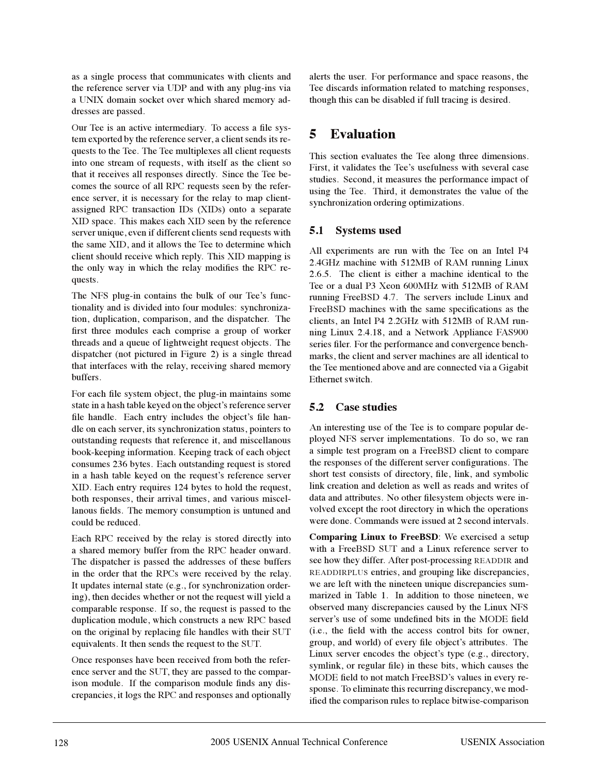as a single process that communicates with clients and the reference server via UDP and with any plug-ins via a UNIX domain socket over which shared memory addresses are passed.

Our Tee is an active intermediary. To access a file system exported by the reference server, a client sends its requests to the Tee. The Tee multiplexes all client requests into one stream of requests, with itself as the client so that it receives all responses directly. Since the Tee becomes the source of all RPC requests seen by the reference server, it is necessary for the relay to map clientassigned RPC transaction IDs (XIDs) onto a separate XID space. This makes each XID seen by the reference server unique, even if different clients send requests with the same XID, and it allows the Tee to determine which client should receive which reply. This XID mapping is the only way in which the relay modifies the RPC requests.

The NFS plug-in contains the bulk of our Tee's functionality and is divided into four modules: synchronization, duplication, comparison, and the dispatcher. The first three modules each comprise a group of worker threads and a queue of lightweight request objects. The dispatcher (not pictured in Figure 2) is a single thread that interfaces with the relay, receiving shared memory buffers.

For each file system object, the plug-in maintains some state in a hash table keyed on the object's reference server file handle. Each entry includes the object's file handle on each server, its synchronization status, pointers to outstanding requests that reference it, and miscellanous book-keeping information. Keeping track of each object consumes 236 bytes. Each outstanding request is stored in a hash table keyed on the request's reference server XID. Each entry requires 124 bytes to hold the request, both responses, their arrival times, and various miscellanous fields. The memory consumption is untuned and could be reduced.

Each RPC received by the relay is stored directly into a shared memory buffer from the RPC header onward. The dispatcher is passed the addresses of these buffers in the order that the RPCs were received by the relay. It updates internal state (e.g., for synchronization ordering), then decides whether or not the request will yield a comparable response. If so, the request is passed to the duplication module, which constructs a new RPC based on the original by replacing file handles with their SUT equivalents. It then sends the request to the SUT.

Once responses have been received from both the reference server and the SUT, they are passed to the comparison module. If the comparison module finds any discrepancies, it logs the RPC and responses and optionally alerts the user. For performance and space reasons, the Tee discards information related to matching responses, though this can be disabled if full tracing is desired.

# **5 Evaluation**

This section evaluates the Tee along three dimensions. First, it validates the Tee's usefulness with several case studies. Second, it measures the performance impact of using the Tee. Third, it demonstrates the value of the synchronization ordering optimizations.

### **5.1 Systems used**

All experiments are run with the Tee on an Intel P4 2.4GHz machine with 512MB of RAM running Linux 2.6.5. The client is either a machine identical to the Tee or a dual P3 Xeon 600MHz with 512MB of RAM running FreeBSD 4.7. The servers include Linux and FreeBSD machines with the same specifications as the clients, an Intel P4 2.2GHz with 512MB of RAM running Linux 2.4.18, and a Network Appliance FAS900 series filer. For the performance and convergence benchmarks, the client and server machines are all identical to the Tee mentioned above and are connected via a Gigabit Ethernet switch.

### **5.2 Case studies**

An interesting use of the Tee is to compare popular deployed NFS server implementations. To do so, we ran a simple test program on a FreeBSD client to compare the responses of the different server configurations. The short test consists of directory, file, link, and symbolic link creation and deletion as well as reads and writes of data and attributes. No other filesystem objects were involved except the root directory in which the operations were done. Commands were issued at 2 second intervals.

**Comparing Linux to FreeBSD**: We exercised a setup with a FreeBSD SUT and a Linux reference server to see how they differ. After post-processing READDIR and READDIRPLUS entries, and grouping like discrepancies, we are left with the nineteen unique discrepancies summarized in Table 1. In addition to those nineteen, we observed many discrepancies caused by the Linux NFS server's use of some undefined bits in the MODE field (i.e., the field with the access control bits for owner, group, and world) of every file object's attributes. The Linux server encodes the object's type (e.g., directory, symlink, or regular file) in these bits, which causes the MODE field to not match FreeBSD's values in every response. To eliminate this recurring discrepancy, we modified the comparison rules to replace bitwise-comparison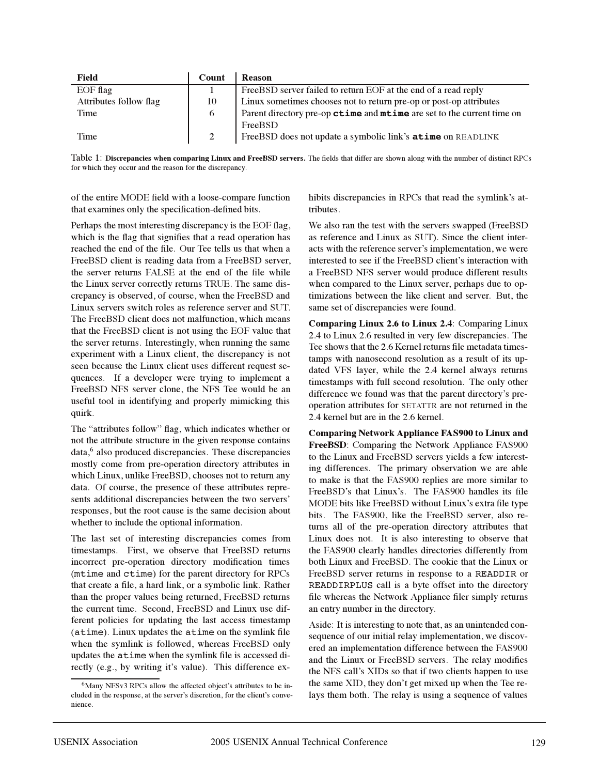| Field                  | Count | Reason                                                                 |
|------------------------|-------|------------------------------------------------------------------------|
| $EOF$ flag             |       | FreeBSD server failed to return EOF at the end of a read reply         |
| Attributes follow flag | 10    | Linux sometimes chooses not to return pre-op or post-op attributes     |
| Time                   | 6     | Parent directory pre-op ctime and mtime are set to the current time on |
|                        |       | FreeBSD                                                                |
| Time                   |       | FreeBSD does not update a symbolic link's <b>atime</b> on READLINK     |

Table 1: **Discrepancies when comparing Linux and FreeBSD servers.** The fields that differ are shown along with the number of distinct RPCs for which they occur and the reason for the discrepancy.

of the entire MODE field with a loose-compare function that examines only the specification-defined bits.

Perhaps the most interesting discrepancy is the EOF flag, which is the flag that signifies that a read operation has reached the end of the file. Our Tee tells us that when a FreeBSD client is reading data from a FreeBSD server, the server returns FALSE at the end of the file while the Linux server correctly returns TRUE. The same discrepancy is observed, of course, when the FreeBSD and Linux servers switch roles as reference server and SUT. The FreeBSD client does not malfunction, which means that the FreeBSD client is not using the EOF value that the server returns. Interestingly, when running the same experiment with a Linux client, the discrepancy is not seen because the Linux client uses different request sequences. If a developer were trying to implement a FreeBSD NFS server clone, the NFS Tee would be an useful tool in identifying and properly mimicking this quirk.

The "attributes follow" flag, which indicates whether or not the attribute structure in the given response contains data,<sup>6</sup> also produced discrepancies. These discrepancies mostly come from pre-operation directory attributes in which Linux, unlike FreeBSD, chooses not to return any data. Of course, the presence of these attributes represents additional discrepancies between the two servers' responses, but the root cause is the same decision about whether to include the optional information.

The last set of interesting discrepancies comes from timestamps. First, we observe that FreeBSD returns incorrect pre-operation directory modification times (mtime and ctime) for the parent directory for RPCs that create a file, a hard link, or a symbolic link. Rather than the proper values being returned, FreeBSD returns the current time. Second, FreeBSD and Linux use different policies for updating the last access timestamp (atime). Linux updates the atime on the symlink file when the symlink is followed, whereas FreeBSD only updates the atime when the symlink file is accessed directly (e.g., by writing it's value). This difference exhibits discrepancies in RPCs that read the symlink's attributes.

We also ran the test with the servers swapped (FreeBSD as reference and Linux as SUT). Since the client interacts with the reference server's implementation, we were interested to see if the FreeBSD client's interaction with a FreeBSD NFS server would produce different results when compared to the Linux server, perhaps due to optimizations between the like client and server. But, the same set of discrepancies were found.

**Comparing Linux 2.6 to Linux 2.4**: Comparing Linux 2.4 to Linux 2.6 resulted in very few discrepancies. The Tee shows that the 2.6 Kernel returns file metadata timestamps with nanosecond resolution as a result of its updated VFS layer, while the 2.4 kernel always returns timestamps with full second resolution. The only other difference we found was that the parent directory's preoperation attributes for SETATTR are not returned in the 2.4 kernel but are in the 2.6 kernel.

**Comparing Network Appliance FAS900 to Linux and FreeBSD**: Comparing the Network Appliance FAS900 to the Linux and FreeBSD servers yields a few interesting differences. The primary observation we are able to make is that the FAS900 replies are more similar to FreeBSD's that Linux's. The FAS900 handles its file MODE bits like FreeBSD without Linux's extra file type bits. The FAS900, like the FreeBSD server, also returns all of the pre-operation directory attributes that Linux does not. It is also interesting to observe that the FAS900 clearly handles directories differently from both Linux and FreeBSD. The cookie that the Linux or FreeBSD server returns in response to a READDIR or READDIRPLUS call is a byte offset into the directory file whereas the Network Appliance filer simply returns an entry number in the directory.

Aside: It is interesting to note that, as an unintended consequence of our initial relay implementation, we discovered an implementation difference between the FAS900 and the Linux or FreeBSD servers. The relay modifies the NFS call's XIDs so that if two clients happen to use the same XID, they don't get mixed up when the Tee relays them both. The relay is using a sequence of values

<sup>&</sup>lt;sup>6</sup>Many NFSv3 RPCs allow the affected object's attributes to be included in the response, at the server's discretion, for the client's convenience.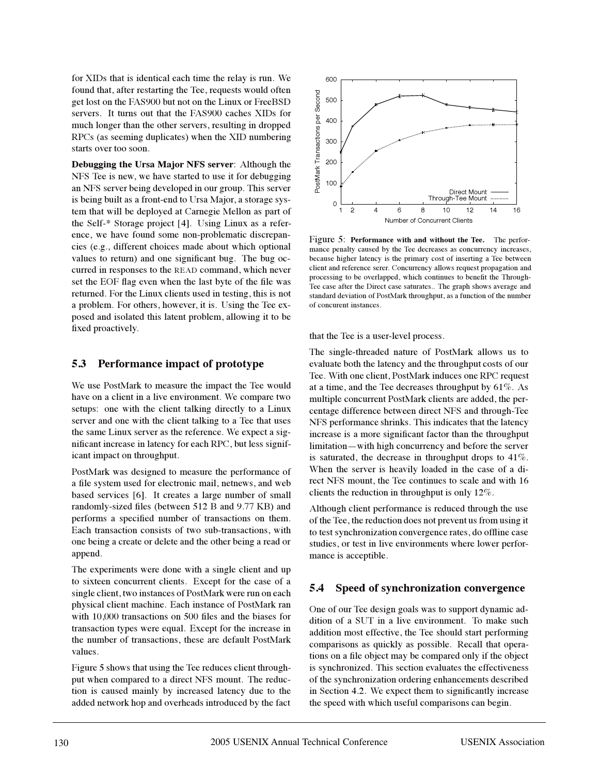for XIDs that is identical each time the relay is run. We found that, after restarting the Tee, requests would often get lost on the FAS900 but not on the Linux or FreeBSD servers. It turns out that the FAS900 caches XIDs for much longer than the other servers, resulting in dropped RPCs (as seeming duplicates) when the XID numbering starts over too soon.

**Debugging the Ursa Major NFS server**: Although the NFS Tee is new, we have started to use it for debugging an NFS server being developed in our group. This server is being built as a front-end to Ursa Major, a storage system that will be deployed at Carnegie Mellon as part of the Self-\* Storage project [4]. Using Linux as a reference, we have found some non-problematic discrepancies (e.g., different choices made about which optional values to return) and one significant bug. The bug occurred in responses to the READ command, which never set the EOF flag even when the last byte of the file was returned. For the Linux clients used in testing, this is not a problem. For others, however, it is. Using the Tee exposed and isolated this latent problem, allowing it to be fixed proactively.

#### **5.3 Performance impact of prototype**

We use PostMark to measure the impact the Tee would have on a client in a live environment. We compare two setups: one with the client talking directly to a Linux server and one with the client talking to a Tee that uses the same Linux server as the reference. We expect a significant increase in latency for each RPC, but less significant impact on throughput.

PostMark was designed to measure the performance of a file system used for electronic mail, netnews, and web based services [6]. It creates a large number of small randomly-sized files (between 512 B and 9.77 KB) and performs a specified number of transactions on them. Each transaction consists of two sub-transactions, with one being a create or delete and the other being a read or append.

The experiments were done with a single client and up to sixteen concurrent clients. Except for the case of a single client, two instances of PostMark were run on each physical client machine. Each instance of PostMark ran with 10,000 transactions on 500 files and the biases for transaction types were equal. Except for the increase in the number of transactions, these are default PostMark values.

Figure 5 shows that using the Tee reduces client throughput when compared to a direct NFS mount. The reduction is caused mainly by increased latency due to the added network hop and overheads introduced by the fact



Figure 5: **Performance with and without the Tee.** The performance penalty caused by the Tee decreases as concurrency increases, because higher latency is the primary cost of inserting a Tee between client and reference serer. Concurrency allows request propagation and processing to be overlapped, which continues to benefit the Through-Tee case after the Direct case saturates.. The graph shows average and standard deviation of PostMark throughput, as a function of the number of concurent instances.

that the Tee is a user-level process.

The single-threaded nature of PostMark allows us to evaluate both the latency and the throughput costs of our Tee. With one client, PostMark induces one RPC request at a time, and the Tee decreases throughput by 61%. As multiple concurrent PostMark clients are added, the percentage difference between direct NFS and through-Tee NFS performance shrinks. This indicates that the latency increase is a more significant factor than the throughput limitation—with high concurrency and before the server is saturated, the decrease in throughput drops to 41%. When the server is heavily loaded in the case of a direct NFS mount, the Tee continues to scale and with 16 clients the reduction in throughput is only 12%.

Although client performance is reduced through the use of the Tee, the reduction does not prevent us from using it to test synchronization convergence rates, do offline case studies, or test in live environments where lower performance is acceptible.

#### **5.4 Speed of synchronization convergence**

One of our Tee design goals was to support dynamic addition of a SUT in a live environment. To make such addition most effective, the Tee should start performing comparisons as quickly as possible. Recall that operations on a file object may be compared only if the object is synchronized. This section evaluates the effectiveness of the synchronization ordering enhancements described in Section 4.2. We expect them to significantly increase the speed with which useful comparisons can begin.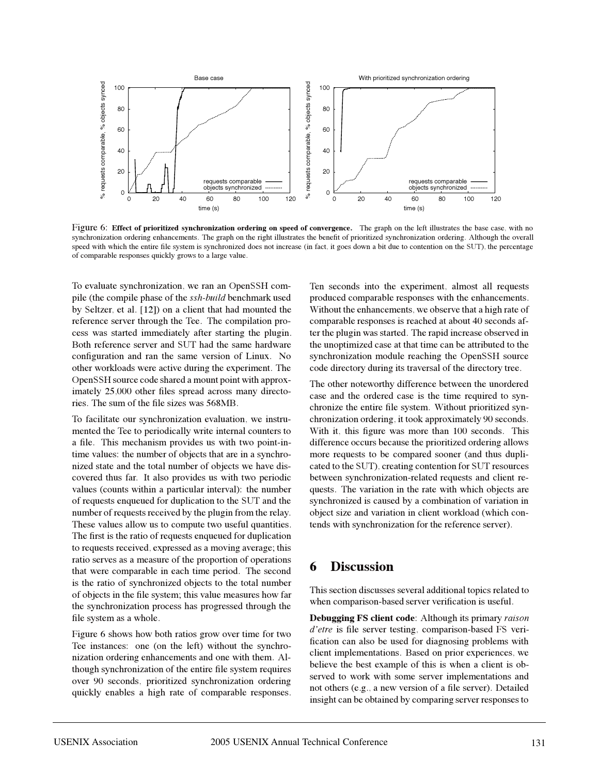

Figure 6: **Effect of prioritized synchronization ordering on speed of convergence.** The graph on the left illustrates the base case, with no synchronization ordering enhancements. The graph on the right illustrates the benefit of prioritized synchronization ordering. Although the overall speed with which the entire file system is synchronized does not increase (in fact, it goes down a bit due to contention on the SUT), the percentage of comparable responses quickly grows to a large value.

To evaluate synchronization, we ran an OpenSSH compile (the compile phase of the *ssh-build* benchmark used by Seltzer, et al. [12]) on a client that had mounted the reference server through the Tee. The compilation process was started immediately after starting the plugin. Both reference server and SUT had the same hardware configuration and ran the same version of Linux. No other workloads were active during the experiment. The OpenSSH source code shared a mount point with approximately 25,000 other files spread across many directories. The sum of the file sizes was 568MB.

To facilitate our synchronization evaluation, we instrumented the Tee to periodically write internal counters to a file. This mechanism provides us with two point-intime values: the number of objects that are in a synchronized state and the total number of objects we have discovered thus far. It also provides us with two periodic values (counts within a particular interval): the number of requests enqueued for duplication to the SUT and the number of requests received by the plugin from the relay. These values allow us to compute two useful quantities. The first is the ratio of requests enqueued for duplication to requests received, expressed as a moving average; this ratio serves as a measure of the proportion of operations that were comparable in each time period. The second is the ratio of synchronized objects to the total number of objects in the file system; this value measures how far the synchronization process has progressed through the file system as a whole.

Figure 6 shows how both ratios grow over time for two Tee instances: one (on the left) without the synchronization ordering enhancements and one with them. Although synchronization of the entire file system requires over 90 seconds, prioritized synchronization ordering quickly enables a high rate of comparable responses.

Ten seconds into the experiment, almost all requests produced comparable responses with the enhancements. Without the enhancements, we observe that a high rate of comparable responses is reached at about 40 seconds after the plugin was started. The rapid increase observed in the unoptimized case at that time can be attributed to the synchronization module reaching the OpenSSH source code directory during its traversal of the directory tree.

The other noteworthy difference between the unordered case and the ordered case is the time required to synchronize the entire file system. Without prioritized synchronization ordering, it took approximately 90 seconds. With it, this figure was more than 100 seconds. This difference occurs because the prioritized ordering allows more requests to be compared sooner (and thus duplicated to the SUT), creating contention for SUT resources between synchronization-related requests and client requests. The variation in the rate with which objects are synchronized is caused by a combination of variation in object size and variation in client workload (which contends with synchronization for the reference server).

## **6 Discussion**

This section discusses several additional topics related to when comparison-based server verification is useful.

**Debugging FS client code**: Although its primary *raison d'etre* is file server testing, comparison-based FS verification can also be used for diagnosing problems with client implementations. Based on prior experiences, we believe the best example of this is when a client is observed to work with some server implementations and not others (e.g., a new version of a file server). Detailed insight can be obtained by comparing server responses to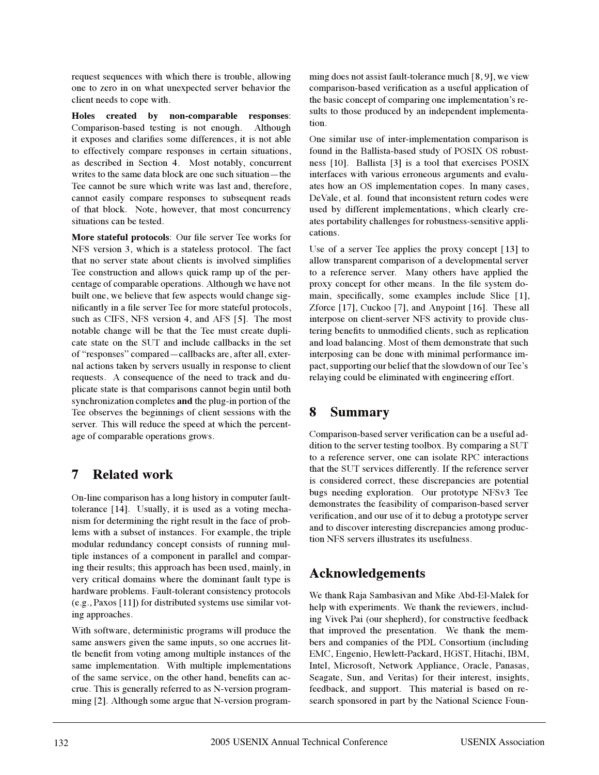request sequences with which there is trouble, allowing one to zero in on what unexpected server behavior the client needs to cope with.

**Holes created by non-comparable responses**: Comparison-based testing is not enough. Although it exposes and clarifies some differences, it is not able to effectively compare responses in certain situations, as described in Section 4. Most notably, concurrent writes to the same data block are one such situation—the Tee cannot be sure which write was last and, therefore, cannot easily compare responses to subsequent reads of that block. Note, however, that most concurrency situations can be tested.

**More stateful protocols**: Our file server Tee works for NFS version 3, which is a stateless protocol. The fact that no server state about clients is involved simplifies Tee construction and allows quick ramp up of the percentage of comparable operations. Although we have not built one, we believe that few aspects would change significantly in a file server Tee for more stateful protocols, such as CIFS, NFS version 4, and AFS [5]. The most notable change will be that the Tee must create duplicate state on the SUT and include callbacks in the set of "responses" compared—callbacks are, after all, external actions taken by servers usually in response to client requests. A consequence of the need to track and duplicate state is that comparisons cannot begin until both synchronization completes **and** the plug-in portion of the Tee observes the beginnings of client sessions with the server. This will reduce the speed at which the percentage of comparable operations grows.

## **7 Related work**

On-line comparison has a long history in computer faulttolerance [14]. Usually, it is used as a voting mechanism for determining the right result in the face of problems with a subset of instances. For example, the triple modular redundancy concept consists of running multiple instances of a component in parallel and comparing their results; this approach has been used, mainly, in very critical domains where the dominant fault type is hardware problems. Fault-tolerant consistency protocols (e.g., Paxos [11]) for distributed systems use similar voting approaches.

With software, deterministic programs will produce the same answers given the same inputs, so one accrues little benefit from voting among multiple instances of the same implementation. With multiple implementations of the same service, on the other hand, benefits can accrue. This is generally referred to as N-version programming [2]. Although some argue that N-version programming does not assist fault-tolerance much [8, 9], we view comparison-based verification as a useful application of the basic concept of comparing one implementation's results to those produced by an independent implementation.

One similar use of inter-implementation comparison is found in the Ballista-based study of POSIX OS robustness [10]. Ballista [3] is a tool that exercises POSIX interfaces with various erroneous arguments and evaluates how an OS implementation copes. In many cases, DeVale, et al. found that inconsistent return codes were used by different implementations, which clearly creates portability challenges for robustness-sensitive applications.

Use of a server Tee applies the proxy concept [13] to allow transparent comparison of a developmental server to a reference server. Many others have applied the proxy concept for other means. In the file system domain, specifically, some examples include Slice [1], Zforce [17], Cuckoo [7], and Anypoint [16]. These all interpose on client-server NFS activity to provide clustering benefits to unmodified clients, such as replication and load balancing. Most of them demonstrate that such interposing can be done with minimal performance impact, supporting our belief that the slowdown of our Tee's relaying could be eliminated with engineering effort.

# **8 Summary**

Comparison-based server verification can be a useful addition to the server testing toolbox. By comparing a SUT to a reference server, one can isolate RPC interactions that the SUT services differently. If the reference server is considered correct, these discrepancies are potential bugs needing exploration. Our prototype NFSv3 Tee demonstrates the feasibility of comparison-based server verification, and our use of it to debug a prototype server and to discover interesting discrepancies among production NFS servers illustrates its usefulness.

# **Acknowledgements**

We thank Raja Sambasivan and Mike Abd-El-Malek for help with experiments. We thank the reviewers, including Vivek Pai (our shepherd), for constructive feedback that improved the presentation. We thank the members and companies of the PDL Consortium (including EMC, Engenio, Hewlett-Packard, HGST, Hitachi, IBM, Intel, Microsoft, Network Appliance, Oracle, Panasas, Seagate, Sun, and Veritas) for their interest, insights, feedback, and support. This material is based on research sponsored in part by the National Science Foun